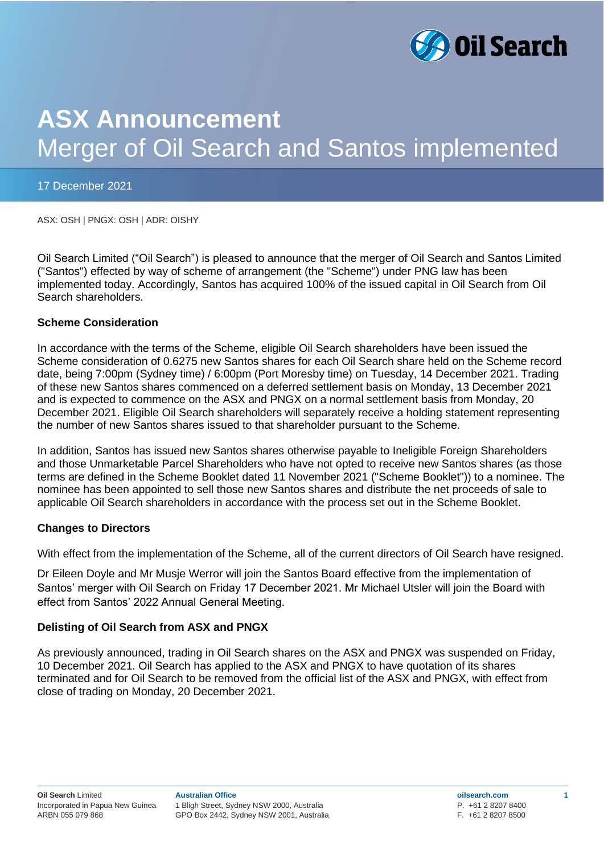

# **ASX Announcement** Merger of Oil Search and Santos implemented

#### 17 December 2021

ASX: OSH | PNGX: OSH | ADR: OISHY

Oil Search Limited ("Oil Search") is pleased to announce that the merger of Oil Search and Santos Limited ("Santos") effected by way of scheme of arrangement (the "Scheme") under PNG law has been implemented today. Accordingly, Santos has acquired 100% of the issued capital in Oil Search from Oil Search shareholders.

#### **Scheme Consideration**

In accordance with the terms of the Scheme, eligible Oil Search shareholders have been issued the Scheme consideration of 0.6275 new Santos shares for each Oil Search share held on the Scheme record date, being 7:00pm (Sydney time) / 6:00pm (Port Moresby time) on Tuesday, 14 December 2021. Trading of these new Santos shares commenced on a deferred settlement basis on Monday, 13 December 2021 and is expected to commence on the ASX and PNGX on a normal settlement basis from Monday, 20 December 2021. Eligible Oil Search shareholders will separately receive a holding statement representing the number of new Santos shares issued to that shareholder pursuant to the Scheme.

In addition, Santos has issued new Santos shares otherwise payable to Ineligible Foreign Shareholders and those Unmarketable Parcel Shareholders who have not opted to receive new Santos shares (as those terms are defined in the Scheme Booklet dated 11 November 2021 ("Scheme Booklet")) to a nominee. The nominee has been appointed to sell those new Santos shares and distribute the net proceeds of sale to applicable Oil Search shareholders in accordance with the process set out in the Scheme Booklet.

#### **Changes to Directors**

With effect from the implementation of the Scheme, all of the current directors of Oil Search have resigned.

Dr Eileen Doyle and Mr Musje Werror will join the Santos Board effective from the implementation of Santos' merger with Oil Search on Friday 17 December 2021. Mr Michael Utsler will join the Board with effect from Santos' 2022 Annual General Meeting.

## **Delisting of Oil Search from ASX and PNGX**

As previously announced, trading in Oil Search shares on the ASX and PNGX was suspended on Friday, 10 December 2021. Oil Search has applied to the ASX and PNGX to have quotation of its shares terminated and for Oil Search to be removed from the official list of the ASX and PNGX, with effect from close of trading on Monday, 20 December 2021.